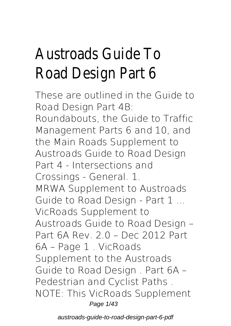# Austroads Guide To Road Design Part 6

These are outlined in the Guide to Road Design Part 4B: Roundabouts, the Guide to Traffic Management Parts 6 and 10, and the Main Roads Supplement to Austroads Guide to Road Design Part 4 - Intersections and Crossings - General. 1. **MRWA Supplement to Austroads Guide to Road Design - Part 1 ...** VicRoads Supplement to Austroads Guide to Road Design – Part 6A Rev. 2.0 – Dec 2012 Part 6A – Page 1 . VicRoads Supplement to the Austroads Guide to Road Design . Part 6A – Pedestrian and Cyclist Paths . NOTE: This VicRoads Supplement Page 1/43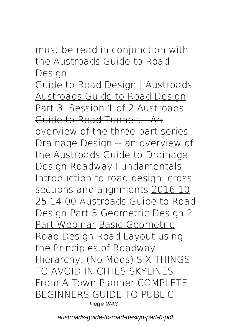must be read in conjunction with the Austroads Guide to Road Design.

**Guide to Road Design | Austroads** Austroads Guide to Road Design Part 3: Session 1 of 2 Austroads Guide to Road Tunnels - An overview of the three-part series *Drainage Design -- an overview of the Austroads Guide to Drainage Design* **Roadway Fundamentals - Introduction to road design, cross sections and alignments** 2016 10 25 14 00 Austroads Guide to Road Design Part 3 Geometric Design 2 Part Webinar Basic Geometric Road Design *Road Layout using the Principles of Roadway Hierarchy. (No Mods) SIX THINGS TO AVOID IN CITIES SKYLINES From A Town Planner* COMPLETE BEGINNERS GUIDE TO PUBLIC Page 2/43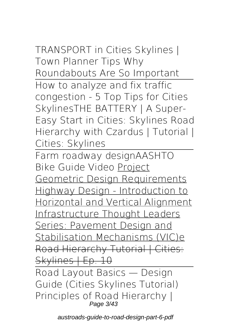TRANSPORT in Cities Skylines | Town Planner Tips *Why Roundabouts Are So Important* How to analyze and fix traffic congestion - 5 Top Tips for Cities Skylines*THE BATTERY | A Super-Easy Start in Cities: Skylines* **Road Hierarchy with Czardus | Tutorial |**

**Cities: Skylines**

Farm roadway design*AASHTO Bike Guide Video* Project Geometric Design Requirements Highway Design - Introduction to Horizontal and Vertical Alignment Infrastructure Thought Leaders Series: Pavement Design and Stabilisation Mechanisms (VIC)e Road Hierarchy Tutorial | Cities: Skylines | Ep. 10

Road Layout Basics — Design Guide (Cities Skylines Tutorial) *Principles of Road Hierarchy |* Page 3/43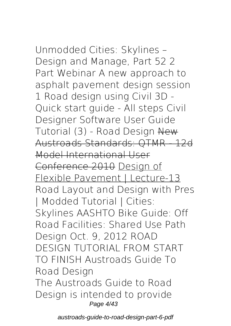*Unmodded Cities: Skylines – Design and Manage, Part 52* **2 Part Webinar A new approach to asphalt pavement design session 1** *Road design using Civil 3D - Quick start guide - All steps Civil Designer Software User Guide Tutorial (3) - Road Design* New Austroads Standards: QTMR - 12d Model International User Conference 2010 Design of Flexible Pavement | Lecture-13 Road Layout and Design with Pres | Modded Tutorial | Cities: Skylines *AASHTO Bike Guide: Off Road Facilities: Shared Use Path Design Oct. 9, 2012* ROAD DESIGN TUTORIAL FROM START TO FINISH **Austroads Guide To Road Design** The Austroads Guide to Road Design is intended to provide Page 4/43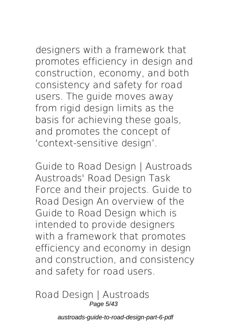designers with a framework that promotes efficiency in design and construction, economy, and both consistency and safety for road users. The guide moves away from rigid design limits as the basis for achieving these goals, and promotes the concept of 'context-sensitive design'.

**Guide to Road Design | Austroads** Austroads' Road Design Task Force and their projects. Guide to Road Design An overview of the Guide to Road Design which is intended to provide designers with a framework that promotes efficiency and economy in design and construction, and consistency and safety for road users.

**Road Design | Austroads** Page 5/43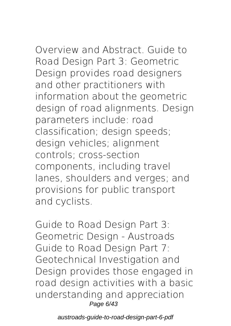Overview and Abstract. Guide to Road Design Part 3: Geometric Design provides road designers and other practitioners with information about the geometric design of road alignments. Design parameters include: road classification; design speeds; design vehicles; alignment controls; cross-section components, including travel lanes, shoulders and verges; and provisions for public transport and cyclists.

**Guide to Road Design Part 3: Geometric Design - Austroads** Guide to Road Design Part 7: Geotechnical Investigation and Design provides those engaged in road design activities with a basic understanding and appreciation Page 6/43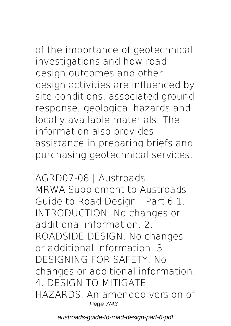of the importance of geotechnical investigations and how road design outcomes and other design activities are influenced by site conditions, associated ground response, geological hazards and locally available materials. The information also provides assistance in preparing briefs and purchasing geotechnical services.

**AGRD07-08 | Austroads** MRWA Supplement to Austroads Guide to Road Design - Part 6 1. INTRODUCTION. No changes or additional information. 2. ROADSIDE DESIGN. No changes or additional information. 3. DESIGNING FOR SAFETY. No changes or additional information. 4. DESIGN TO MITIGATE HAZARDS. An amended version of Page 7/43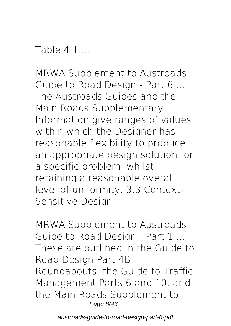Table 4.1

**MRWA Supplement to Austroads Guide to Road Design - Part 6 ...** The Austroads Guides and the Main Roads Supplementary Information give ranges of values within which the Designer has reasonable flexibility to produce an appropriate design solution for a specific problem, whilst retaining a reasonable overall level of uniformity. 3.3 Context-Sensitive Design

**MRWA Supplement to Austroads Guide to Road Design - Part 1 ...** These are outlined in the Guide to Road Design Part 4B: Roundabouts, the Guide to Traffic Management Parts 6 and 10, and the Main Roads Supplement to Page 8/43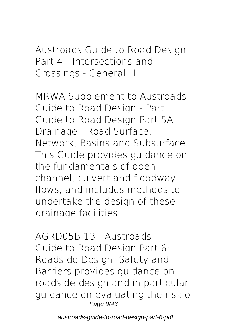Austroads Guide to Road Design Part 4 - Intersections and Crossings - General. 1.

**MRWA Supplement to Austroads Guide to Road Design - Part ...** Guide to Road Design Part 5A: Drainage - Road Surface, Network, Basins and Subsurface This Guide provides guidance on the fundamentals of open channel, culvert and floodway flows, and includes methods to undertake the design of these drainage facilities.

**AGRD05B-13 | Austroads** Guide to Road Design Part 6: Roadside Design, Safety and Barriers provides guidance on roadside design and in particular guidance on evaluating the risk of Page 9/43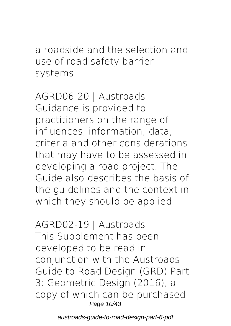a roadside and the selection and use of road safety barrier systems.

**AGRD06-20 | Austroads** Guidance is provided to practitioners on the range of influences, information, data, criteria and other considerations that may have to be assessed in developing a road project. The Guide also describes the basis of the guidelines and the context in which they should be applied.

**AGRD02-19 | Austroads** This Supplement has been developed to be read in conjunction with the Austroads Guide to Road Design (GRD) Part 3: Geometric Design (2016), a copy of which can be purchased Page 10/43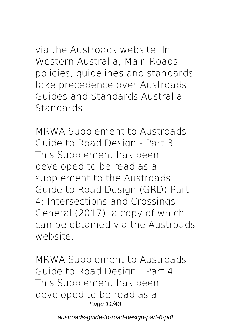via the Austroads website. In Western Australia, Main Roads' policies, guidelines and standards take precedence over Austroads Guides and Standards Australia Standards.

**MRWA Supplement to Austroads Guide to Road Design - Part 3 ...** This Supplement has been developed to be read as a supplement to the Austroads Guide to Road Design (GRD) Part 4: Intersections and Crossings - General (2017), a copy of which can be obtained via the Austroads website.

**MRWA Supplement to Austroads Guide to Road Design - Part 4 ...** This Supplement has been developed to be read as a Page 11/43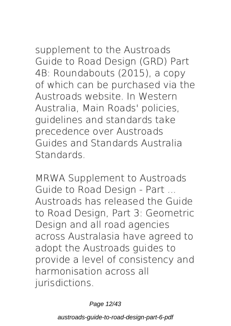supplement to the Austroads Guide to Road Design (GRD) Part 4B: Roundabouts (2015), a copy of which can be purchased via the Austroads website. In Western Australia, Main Roads' policies, guidelines and standards take precedence over Austroads Guides and Standards Australia **Standards** 

**MRWA Supplement to Austroads Guide to Road Design - Part ...** Austroads has released the Guide to Road Design, Part 3: Geometric Design and all road agencies across Australasia have agreed to adopt the Austroads guides to provide a level of consistency and harmonisation across all jurisdictions.

Page 12/43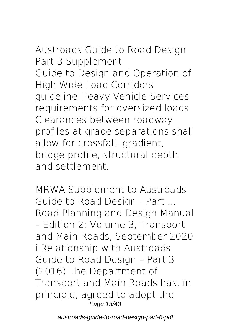**Austroads Guide to Road Design Part 3 Supplement** Guide to Design and Operation of High Wide Load Corridors guideline Heavy Vehicle Services requirements for oversized loads Clearances between roadway profiles at grade separations shall allow for crossfall, gradient, bridge profile, structural depth and settlement.

**MRWA Supplement to Austroads Guide to Road Design - Part ...** Road Planning and Design Manual – Edition 2: Volume 3, Transport and Main Roads, September 2020 i Relationship with Austroads Guide to Road Design – Part 3 (2016) The Department of Transport and Main Roads has, in principle, agreed to adopt the Page 13/43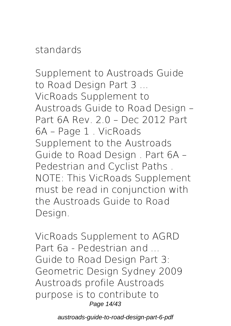#### standards

**Supplement to Austroads Guide to Road Design Part 3 ...** VicRoads Supplement to Austroads Guide to Road Design – Part 6A Rev. 2.0 – Dec 2012 Part 6A – Page 1 . VicRoads Supplement to the Austroads Guide to Road Design . Part 6A – Pedestrian and Cyclist Paths . NOTE: This VicRoads Supplement must be read in conjunction with the Austroads Guide to Road Design.

**VicRoads Supplement to AGRD Part 6a - Pedestrian and ...** Guide to Road Design Part 3: Geometric Design Sydney 2009 Austroads profile Austroads purpose is to contribute to Page 14/43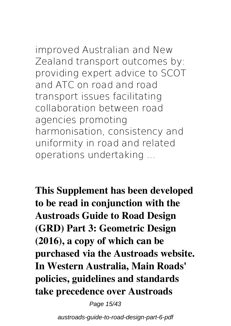# improved Australian and New

Zealand transport outcomes by: providing expert advice to SCOT and ATC on road and road transport issues facilitating collaboration between road agencies promoting harmonisation, consistency and uniformity in road and related operations undertaking ...

**This Supplement has been developed to be read in conjunction with the Austroads Guide to Road Design (GRD) Part 3: Geometric Design (2016), a copy of which can be purchased via the Austroads website. In Western Australia, Main Roads' policies, guidelines and standards take precedence over Austroads**

Page 15/43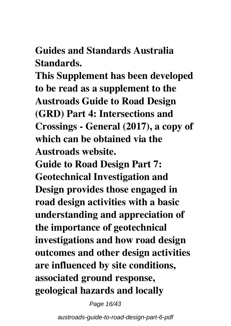**Guides and Standards Australia Standards.**

**This Supplement has been developed to be read as a supplement to the Austroads Guide to Road Design (GRD) Part 4: Intersections and Crossings - General (2017), a copy of which can be obtained via the Austroads website.**

**Guide to Road Design Part 7: Geotechnical Investigation and Design provides those engaged in road design activities with a basic understanding and appreciation of the importance of geotechnical investigations and how road design outcomes and other design activities are influenced by site conditions, associated ground response, geological hazards and locally**

Page 16/43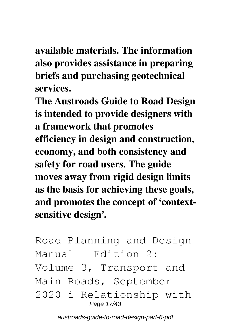**available materials. The information also provides assistance in preparing briefs and purchasing geotechnical services.**

**The Austroads Guide to Road Design is intended to provide designers with a framework that promotes efficiency in design and construction, economy, and both consistency and safety for road users. The guide moves away from rigid design limits as the basis for achieving these goals, and promotes the concept of 'contextsensitive design'.**

Road Planning and Design Manual – Edition 2: Volume 3, Transport and Main Roads, September 2020 i Relationship with Page 17/43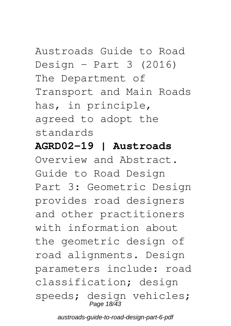# Austroads Guide to Road Design - Part  $3$  (2016) The Department of Transport and Main Roads has, in principle, agreed to adopt the

standards

#### **AGRD02-19 | Austroads**

Overview and Abstract. Guide to Road Design Part 3: Geometric Design provides road designers and other practitioners with information about the geometric design of road alignments. Design parameters include: road classification; design speeds; design vehicles; Page 18/43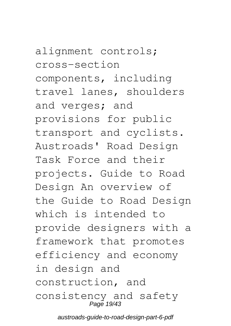alignment controls; cross-section components, including travel lanes, shoulders and verges; and provisions for public transport and cyclists. Austroads' Road Design Task Force and their projects. Guide to Road Design An overview of the Guide to Road Design which is intended to provide designers with a framework that promotes efficiency and economy in design and construction, and consistency and safety Page 19/43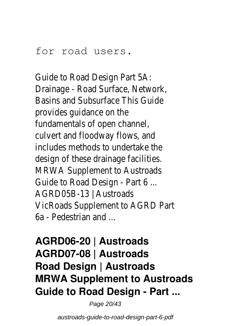#### for road users.

Guide to Road Design Part 5A: Drainage - Road Surface, Network, Basins and Subsurface This Guide provides guidance on the fundamentals of open channel, culvert and floodway flows, and includes methods to undertake the design of these drainage facilities. MRWA Supplement to Austroads Guide to Road Design - Part 6 ... AGRD05B-13 | Austroads VicRoads Supplement to AGRD Part 6a - Pedestrian and ...

### **AGRD06-20 | Austroads AGRD07-08 | Austroads Road Design | Austroads MRWA Supplement to Austroads Guide to Road Design - Part ...**

Page 20/43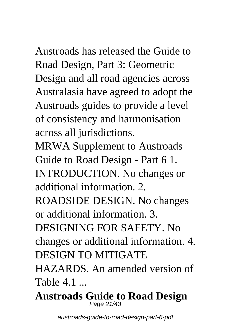Austroads has released the Guide to Road Design, Part 3: Geometric Design and all road agencies across Australasia have agreed to adopt the Austroads guides to provide a level of consistency and harmonisation across all jurisdictions.

MRWA Supplement to Austroads Guide to Road Design - Part 6 1. INTRODUCTION. No changes or additional information. 2. ROADSIDE DESIGN. No changes or additional information. 3. DESIGNING FOR SAFETY. No changes or additional information. 4. DESIGN TO MITIGATE HAZARDS. An amended version of Table 4.1

**Austroads Guide to Road Design** Page 21/43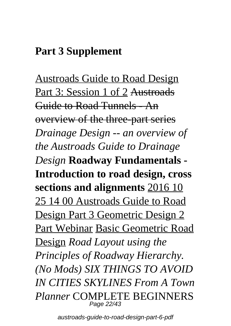### **Part 3 Supplement**

Austroads Guide to Road Design Part 3: Session 1 of 2 Austroads Guide to Road Tunnels - An overview of the three-part series *Drainage Design -- an overview of the Austroads Guide to Drainage Design* **Roadway Fundamentals - Introduction to road design, cross sections and alignments** 2016 10 25 14 00 Austroads Guide to Road Design Part 3 Geometric Design 2 Part Webinar Basic Geometric Road Design *Road Layout using the Principles of Roadway Hierarchy. (No Mods) SIX THINGS TO AVOID IN CITIES SKYLINES From A Town Planner* COMPLETE BEGINNERS Page 22/43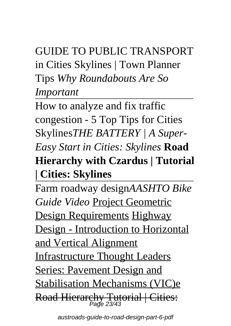# GUIDE TO PUBLIC TRANSPORT in Cities Skylines | Town Planner Tips *Why Roundabouts Are So Important*

How to analyze and fix traffic congestion - 5 Top Tips for Cities Skylines*THE BATTERY | A Super-Easy Start in Cities: Skylines* **Road Hierarchy with Czardus | Tutorial | Cities: Skylines**

Farm roadway design*AASHTO Bike Guide Video* Project Geometric Design Requirements Highway Design - Introduction to Horizontal and Vertical Alignment Infrastructure Thought Leaders Series: Pavement Design and Stabilisation Mechanisms (VIC)e Road Hierarchy Tutorial | Cities:<br>Page 23/43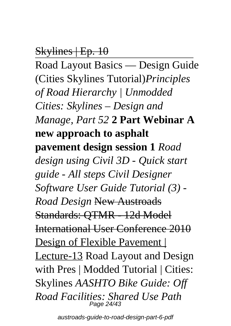### Skylines | Ep. 10

Road Layout Basics — Design Guide (Cities Skylines Tutorial)*Principles of Road Hierarchy | Unmodded Cities: Skylines – Design and Manage, Part 52* **2 Part Webinar A new approach to asphalt pavement design session 1** *Road design using Civil 3D - Quick start guide - All steps Civil Designer Software User Guide Tutorial (3) - Road Design* New Austroads Standards: QTMR - 12d Model International User Conference 2010 Design of Flexible Pavement | Lecture-13 Road Layout and Design with Pres | Modded Tutorial | Cities: Skylines *AASHTO Bike Guide: Off Road Facilities: Shared Use Path* Page 24/43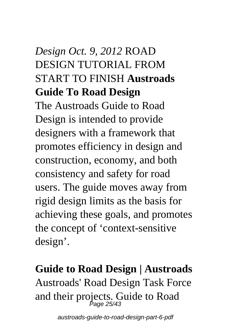# *Design Oct. 9, 2012* ROAD DESIGN TUTORIAL FROM START TO FINISH **Austroads Guide To Road Design**

The Austroads Guide to Road Design is intended to provide designers with a framework that promotes efficiency in design and construction, economy, and both consistency and safety for road users. The guide moves away from rigid design limits as the basis for achieving these goals, and promotes the concept of 'context-sensitive design'.

# **Guide to Road Design | Austroads** Austroads' Road Design Task Force and their projects. Guide to Road Page 25/43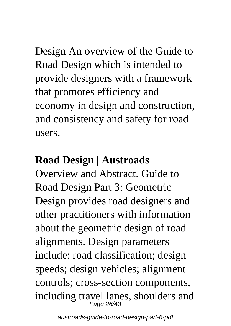Design An overview of the Guide to Road Design which is intended to provide designers with a framework that promotes efficiency and economy in design and construction, and consistency and safety for road users.

### **Road Design | Austroads**

Overview and Abstract. Guide to Road Design Part 3: Geometric Design provides road designers and other practitioners with information about the geometric design of road alignments. Design parameters include: road classification; design speeds; design vehicles; alignment controls; cross-section components, including travel lanes, shoulders and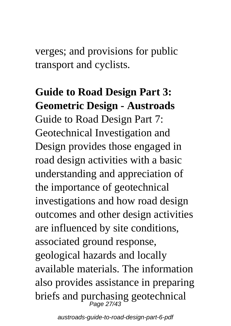verges; and provisions for public transport and cyclists.

# **Guide to Road Design Part 3: Geometric Design - Austroads** Guide to Road Design Part 7: Geotechnical Investigation and Design provides those engaged in road design activities with a basic understanding and appreciation of the importance of geotechnical investigations and how road design outcomes and other design activities are influenced by site conditions, associated ground response, geological hazards and locally available materials. The information also provides assistance in preparing briefs and purchasing geotechnical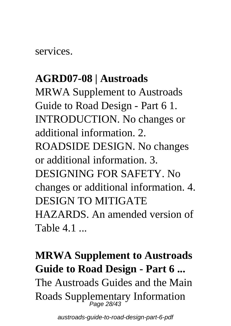services.

### **AGRD07-08 | Austroads**

MRWA Supplement to Austroads Guide to Road Design - Part 6 1. INTRODUCTION. No changes or additional information. 2. ROADSIDE DESIGN. No changes or additional information. 3. DESIGNING FOR SAFETY. No changes or additional information. 4. DESIGN TO MITIGATE HAZARDS. An amended version of Table 4.1

# **MRWA Supplement to Austroads Guide to Road Design - Part 6 ...** The Austroads Guides and the Main Roads Supplementary Information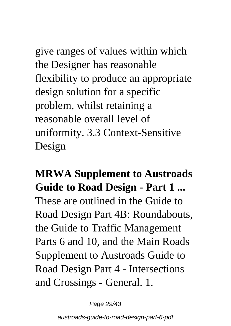give ranges of values within which the Designer has reasonable flexibility to produce an appropriate design solution for a specific problem, whilst retaining a reasonable overall level of uniformity. 3.3 Context-Sensitive Design

**MRWA Supplement to Austroads Guide to Road Design - Part 1 ...** These are outlined in the Guide to Road Design Part 4B: Roundabouts, the Guide to Traffic Management Parts 6 and 10, and the Main Roads Supplement to Austroads Guide to Road Design Part 4 - Intersections and Crossings - General. 1.

Page 29/43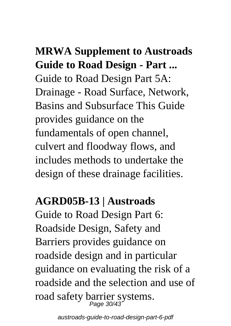# **MRWA Supplement to Austroads Guide to Road Design - Part ...**

Guide to Road Design Part 5A: Drainage - Road Surface, Network, Basins and Subsurface This Guide provides guidance on the fundamentals of open channel, culvert and floodway flows, and includes methods to undertake the design of these drainage facilities.

# **AGRD05B-13 | Austroads**

Guide to Road Design Part 6: Roadside Design, Safety and Barriers provides guidance on roadside design and in particular guidance on evaluating the risk of a roadside and the selection and use of road safety barrier systems.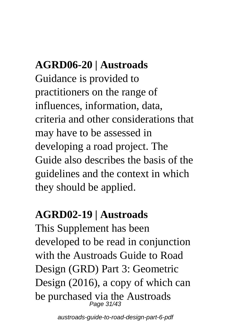# **AGRD06-20 | Austroads**

Guidance is provided to practitioners on the range of influences, information, data, criteria and other considerations that may have to be assessed in developing a road project. The Guide also describes the basis of the guidelines and the context in which they should be applied.

### **AGRD02-19 | Austroads**

This Supplement has been developed to be read in conjunction with the Austroads Guide to Road Design (GRD) Part 3: Geometric Design (2016), a copy of which can be purchased via the Austroads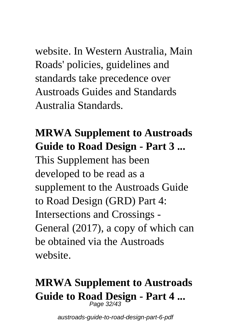website. In Western Australia, Main Roads' policies, guidelines and standards take precedence over Austroads Guides and Standards Australia Standards.

# **MRWA Supplement to Austroads Guide to Road Design - Part 3 ...**

This Supplement has been developed to be read as a supplement to the Austroads Guide to Road Design (GRD) Part 4: Intersections and Crossings - General (2017), a copy of which can be obtained via the Austroads website.

# **MRWA Supplement to Austroads Guide to Road Design - Part 4 ...** Page 32/43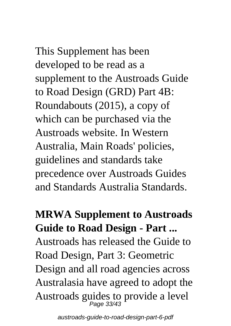This Supplement has been developed to be read as a supplement to the Austroads Guide to Road Design (GRD) Part 4B: Roundabouts (2015), a copy of which can be purchased via the Austroads website. In Western Australia, Main Roads' policies, guidelines and standards take precedence over Austroads Guides and Standards Australia Standards.

**MRWA Supplement to Austroads Guide to Road Design - Part ...** Austroads has released the Guide to Road Design, Part 3: Geometric Design and all road agencies across Australasia have agreed to adopt the Austroads guides to provide a level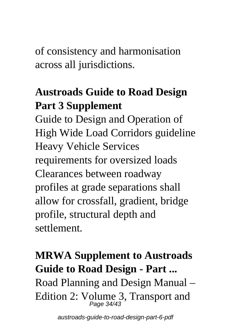of consistency and harmonisation across all jurisdictions.

# **Austroads Guide to Road Design Part 3 Supplement**

Guide to Design and Operation of High Wide Load Corridors guideline Heavy Vehicle Services requirements for oversized loads Clearances between roadway profiles at grade separations shall allow for crossfall, gradient, bridge profile, structural depth and settlement.

# **MRWA Supplement to Austroads Guide to Road Design - Part ...** Road Planning and Design Manual – Edition 2:  $V_{Page\,34/43}^{O}$ , Transport and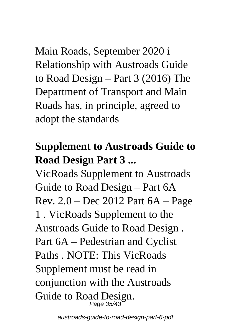Main Roads, September 2020 i Relationship with Austroads Guide to Road Design – Part 3 (2016) The Department of Transport and Main Roads has, in principle, agreed to adopt the standards

## **Supplement to Austroads Guide to Road Design Part 3 ...**

VicRoads Supplement to Austroads Guide to Road Design – Part 6A Rev. 2.0 – Dec 2012 Part 6A – Page 1 . VicRoads Supplement to the Austroads Guide to Road Design . Part 6A – Pedestrian and Cyclist Paths NOTE: This VicRoads Supplement must be read in conjunction with the Austroads Guide to Road Design.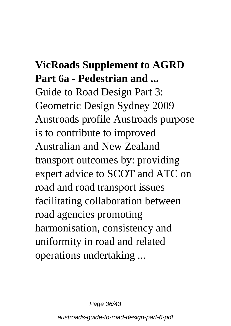# **VicRoads Supplement to AGRD Part 6a - Pedestrian and ...** Guide to Road Design Part 3: Geometric Design Sydney 2009 Austroads profile Austroads purpose is to contribute to improved Australian and New Zealand transport outcomes by: providing expert advice to SCOT and ATC on road and road transport issues facilitating collaboration between road agencies promoting harmonisation, consistency and uniformity in road and related operations undertaking ...

Page 36/43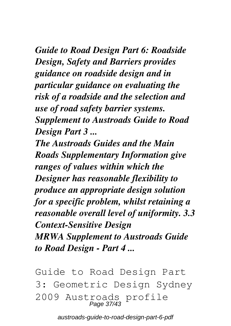*Guide to Road Design Part 6: Roadside Design, Safety and Barriers provides guidance on roadside design and in particular guidance on evaluating the risk of a roadside and the selection and use of road safety barrier systems. Supplement to Austroads Guide to Road Design Part 3 ...*

*The Austroads Guides and the Main Roads Supplementary Information give ranges of values within which the Designer has reasonable flexibility to produce an appropriate design solution for a specific problem, whilst retaining a reasonable overall level of uniformity. 3.3 Context-Sensitive Design MRWA Supplement to Austroads Guide to Road Design - Part 4 ...*

Guide to Road Design Part 3: Geometric Design Sydney 2009 Austroads profile Page 37/43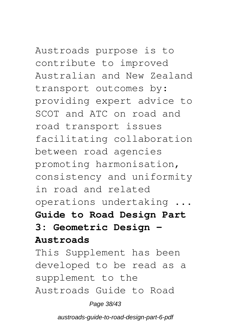# Austroads purpose is to

contribute to improved Australian and New Zealand transport outcomes by: providing expert advice to SCOT and ATC on road and road transport issues facilitating collaboration between road agencies promoting harmonisation, consistency and uniformity in road and related operations undertaking ... **Guide to Road Design Part 3: Geometric Design -**

#### **Austroads**

This Supplement has been developed to be read as a supplement to the Austroads Guide to Road

#### Page 38/43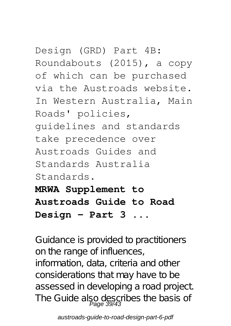Design (GRD) Part 4B: Roundabouts (2015), a copy of which can be purchased via the Austroads website. In Western Australia, Main Roads' policies, guidelines and standards take precedence over Austroads Guides and Standards Australia Standards. **MRWA Supplement to**

**Austroads Guide to Road Design - Part 3 ...**

Guidance is provided to practitioners on the range of influences, information, data, criteria and other considerations that may have to be assessed in developing a road project. The Guide also describes the basis of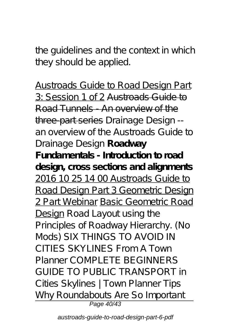the guidelines and the context in which they should be applied.

Austroads Guide to Road Design Part 3: Session 1 of 2 Austroads Guide to Road Tunnels - An overview of the three-part series *Drainage Design - an overview of the Austroads Guide to Drainage Design* **Roadway Fundamentals - Introduction to road design, cross sections and alignments** 2016 10 25 14 00 Austroads Guide to Road Design Part 3 Geometric Design 2 Part Webinar Basic Geometric Road Design *Road Layout using the Principles of Roadway Hierarchy. (No Mods) SIX THINGS TO AVOID IN CITIES SKYLINES From A Town Planner* COMPLETE BEGINNERS GUIDE TO PUBLIC TRANSPORT in Cities Skylines | Town Planner Tips *Why Roundabouts Are So Important* Page 40/43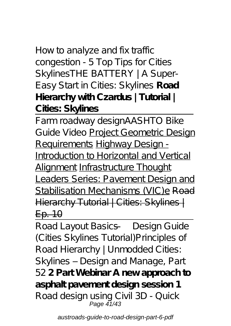### How to analyze and fix traffic congestion - 5 Top Tips for Cities Skylines*THE BATTERY | A Super-Easy Start in Cities: Skylines* **Road Hierarchy with Czardus | Tutorial | Cities: Skylines**

Farm roadway design*AASHTO Bike Guide Video* Project Geometric Design Requirements Highway Design - Introduction to Horizontal and Vertical Alignment Infrastructure Thought Leaders Series: Pavement Design and Stabilisation Mechanisms (VIC)e Road Hierarchy Tutorial | Cities: Skylines | Ep. 10

Road Layout Basics — Design Guide (Cities Skylines Tutorial)*Principles of Road Hierarchy | Unmodded Cities: Skylines – Design and Manage, Part 52* **2 Part Webinar A new approach to asphalt pavement design session 1** *Road design using Civil 3D - Quick* Page 41/43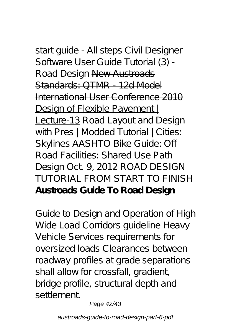*start guide - All steps Civil Designer Software User Guide Tutorial (3) - Road Design* New Austroads Standards: QTMR - 12d Model International User Conference 2010 Design of Flexible Pavement! Lecture-13 Road Layout and Design with Pres | Modded Tutorial | Cities: Skylines *AASHTO Bike Guide: Off Road Facilities: Shared Use Path Design Oct. 9, 2012* ROAD DESIGN TUTORIAL FROM START TO FINISH **Austroads Guide To Road Design**

Guide to Design and Operation of High Wide Load Corridors guideline Heavy Vehicle Services requirements for oversized loads Clearances between roadway profiles at grade separations shall allow for crossfall, gradient, bridge profile, structural depth and settlement.

Page 42/43